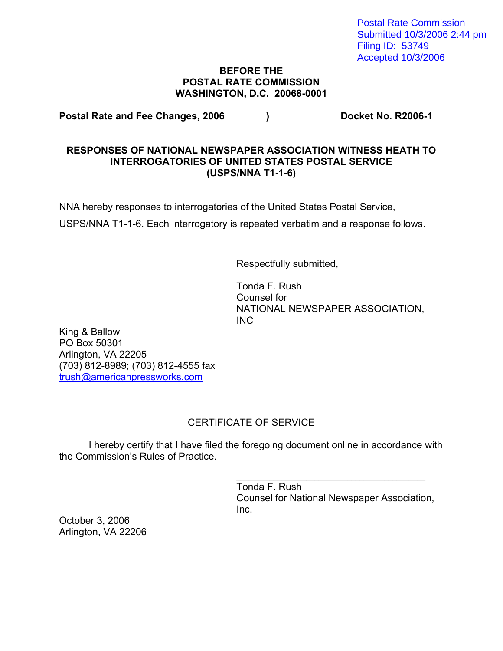Postal Rate Commission Submitted 10/3/2006 2:44 pm Filing ID: 53749 Accepted 10/3/2006

#### **BEFORE THE POSTAL RATE COMMISSION WASHINGTON, D.C. 20068-0001**

Postal Rate and Fee Changes, 2006 (a) Postal Rate and Fee Changes, 2006 (b) Pocket No. R2006-1

### **RESPONSES OF NATIONAL NEWSPAPER ASSOCIATION WITNESS HEATH TO INTERROGATORIES OF UNITED STATES POSTAL SERVICE (USPS/NNA T1-1-6)**

NNA hereby responses to interrogatories of the United States Postal Service,

USPS/NNA T1-1-6. Each interrogatory is repeated verbatim and a response follows.

Respectfully submitted,

 Tonda F. Rush Counsel for NATIONAL NEWSPAPER ASSOCIATION, INC

King & Ballow PO Box 50301 Arlington, VA 22205 (703) 812-8989; (703) 812-4555 fax trush@americanpressworks.com

# CERTIFICATE OF SERVICE

 I hereby certify that I have filed the foregoing document online in accordance with the Commission's Rules of Practice.

 $\frac{1}{\sqrt{2}}$  ,  $\frac{1}{\sqrt{2}}$  ,  $\frac{1}{\sqrt{2}}$  ,  $\frac{1}{\sqrt{2}}$  ,  $\frac{1}{\sqrt{2}}$  ,  $\frac{1}{\sqrt{2}}$  ,  $\frac{1}{\sqrt{2}}$  ,  $\frac{1}{\sqrt{2}}$  ,  $\frac{1}{\sqrt{2}}$  ,  $\frac{1}{\sqrt{2}}$  ,  $\frac{1}{\sqrt{2}}$  ,  $\frac{1}{\sqrt{2}}$  ,  $\frac{1}{\sqrt{2}}$  ,  $\frac{1}{\sqrt{2}}$  ,  $\frac{1}{\sqrt{2}}$  Tonda F. Rush Counsel for National Newspaper Association, **Inc.** Inc.

October 3, 2006 Arlington, VA 22206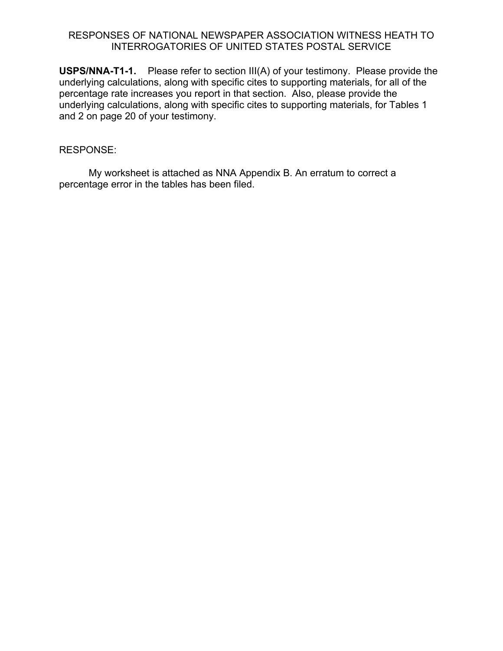### RESPONSES OF NATIONAL NEWSPAPER ASSOCIATION WITNESS HEATH TO INTERROGATORIES OF UNITED STATES POSTAL SERVICE

**USPS/NNA-T1-1.** Please refer to section III(A) of your testimony. Please provide the underlying calculations, along with specific cites to supporting materials, for all of the percentage rate increases you report in that section. Also, please provide the underlying calculations, along with specific cites to supporting materials, for Tables 1 and 2 on page 20 of your testimony.

### RESPONSE:

 My worksheet is attached as NNA Appendix B. An erratum to correct a percentage error in the tables has been filed.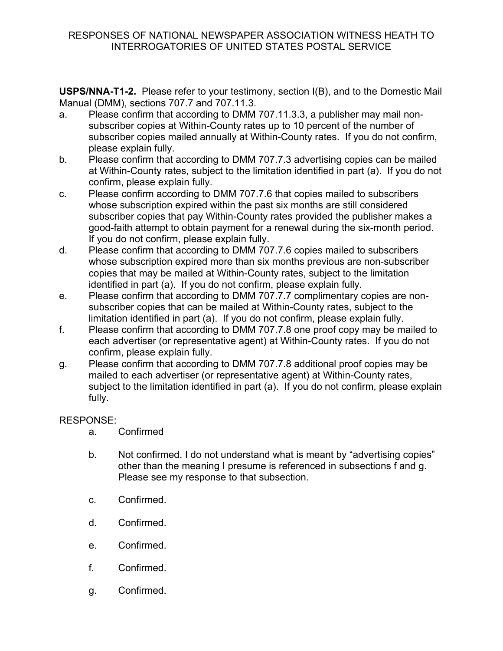**USPS/NNA-T1-2.** Please refer to your testimony, section I(B), and to the Domestic Mail Manual (DMM), sections 707.7 and 707.11.3.

- a. Please confirm that according to DMM 707.11.3.3, a publisher may mail nonsubscriber copies at Within-County rates up to 10 percent of the number of subscriber copies mailed annually at Within-County rates. If you do not confirm, please explain fully.
- b. Please confirm that according to DMM 707.7.3 advertising copies can be mailed at Within-County rates, subject to the limitation identified in part (a). If you do not confirm, please explain fully.
- c. Please confirm according to DMM 707.7.6 that copies mailed to subscribers whose subscription expired within the past six months are still considered subscriber copies that pay Within-County rates provided the publisher makes a good-faith attempt to obtain payment for a renewal during the six-month period. If you do not confirm, please explain fully.
- d. Please confirm that according to DMM 707.7.6 copies mailed to subscribers whose subscription expired more than six months previous are non-subscriber copies that may be mailed at Within-County rates, subject to the limitation identified in part (a). If you do not confirm, please explain fully.
- e. Please confirm that according to DMM 707.7.7 complimentary copies are nonsubscriber copies that can be mailed at Within-County rates, subject to the limitation identified in part (a). If you do not confirm, please explain fully.
- f. Please confirm that according to DMM 707.7.8 one proof copy may be mailed to each advertiser (or representative agent) at Within-County rates. If you do not confirm, please explain fully.
- g. Please confirm that according to DMM 707.7.8 additional proof copies may be mailed to each advertiser (or representative agent) at Within-County rates, subject to the limitation identified in part (a). If you do not confirm, please explain fully.

- a. Confirmed
- b. Not confirmed. I do not understand what is meant by "advertising copies" other than the meaning I presume is referenced in subsections f and g. Please see my response to that subsection.
- c. Confirmed.
- d. Confirmed.
- e. Confirmed.
- f. Confirmed.
- g. Confirmed.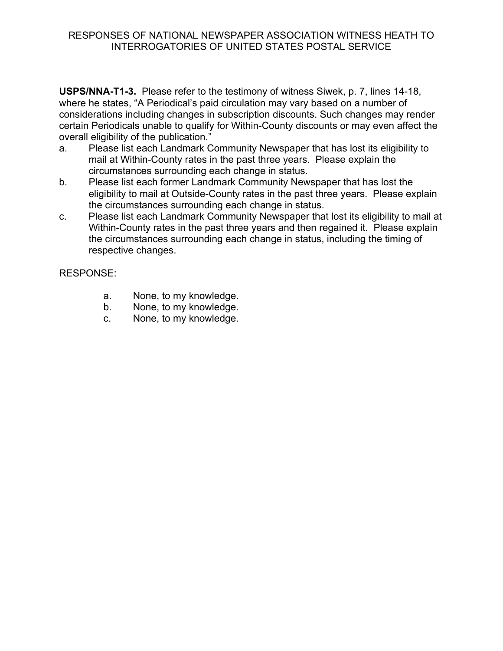### RESPONSES OF NATIONAL NEWSPAPER ASSOCIATION WITNESS HEATH TO INTERROGATORIES OF UNITED STATES POSTAL SERVICE

**USPS/NNA-T1-3.** Please refer to the testimony of witness Siwek, p. 7, lines 14-18, where he states, "A Periodical's paid circulation may vary based on a number of considerations including changes in subscription discounts. Such changes may render certain Periodicals unable to qualify for Within-County discounts or may even affect the overall eligibility of the publication."

- a. Please list each Landmark Community Newspaper that has lost its eligibility to mail at Within-County rates in the past three years. Please explain the circumstances surrounding each change in status.
- b. Please list each former Landmark Community Newspaper that has lost the eligibility to mail at Outside-County rates in the past three years. Please explain the circumstances surrounding each change in status.
- c. Please list each Landmark Community Newspaper that lost its eligibility to mail at Within-County rates in the past three years and then regained it. Please explain the circumstances surrounding each change in status, including the timing of respective changes.

- a. None, to my knowledge.
- b. None, to my knowledge.
- c. None, to my knowledge.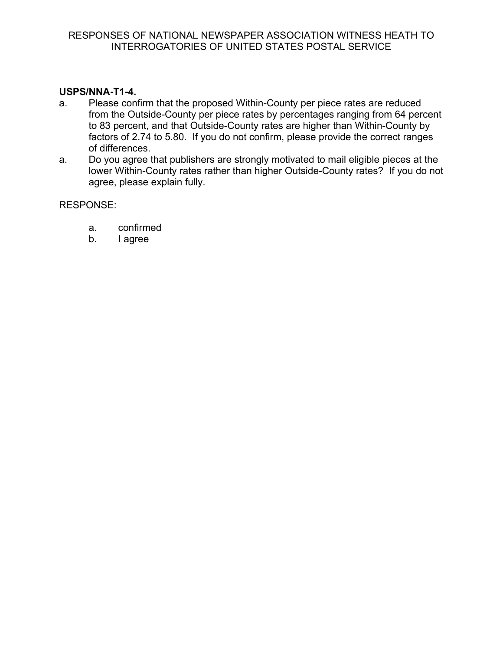## **USPS/NNA-T1-4.**

- a. Please confirm that the proposed Within-County per piece rates are reduced from the Outside-County per piece rates by percentages ranging from 64 percent to 83 percent, and that Outside-County rates are higher than Within-County by factors of 2.74 to 5.80. If you do not confirm, please provide the correct ranges of differences.
- a. Do you agree that publishers are strongly motivated to mail eligible pieces at the lower Within-County rates rather than higher Outside-County rates? If you do not agree, please explain fully.

- a. confirmed
- b. I agree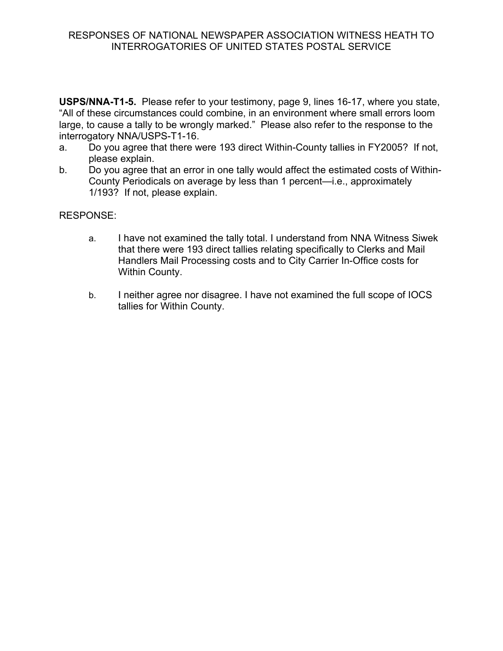### RESPONSES OF NATIONAL NEWSPAPER ASSOCIATION WITNESS HEATH TO INTERROGATORIES OF UNITED STATES POSTAL SERVICE

**USPS/NNA-T1-5.** Please refer to your testimony, page 9, lines 16-17, where you state, "All of these circumstances could combine, in an environment where small errors loom large, to cause a tally to be wrongly marked." Please also refer to the response to the interrogatory NNA/USPS-T1-16.

- a. Do you agree that there were 193 direct Within-County tallies in FY2005? If not, please explain.
- b. Do you agree that an error in one tally would affect the estimated costs of Within-County Periodicals on average by less than 1 percent—i.e., approximately 1/193? If not, please explain.

- a. I have not examined the tally total. I understand from NNA Witness Siwek that there were 193 direct tallies relating specifically to Clerks and Mail Handlers Mail Processing costs and to City Carrier In-Office costs for Within County.
- b. I neither agree nor disagree. I have not examined the full scope of IOCS tallies for Within County.